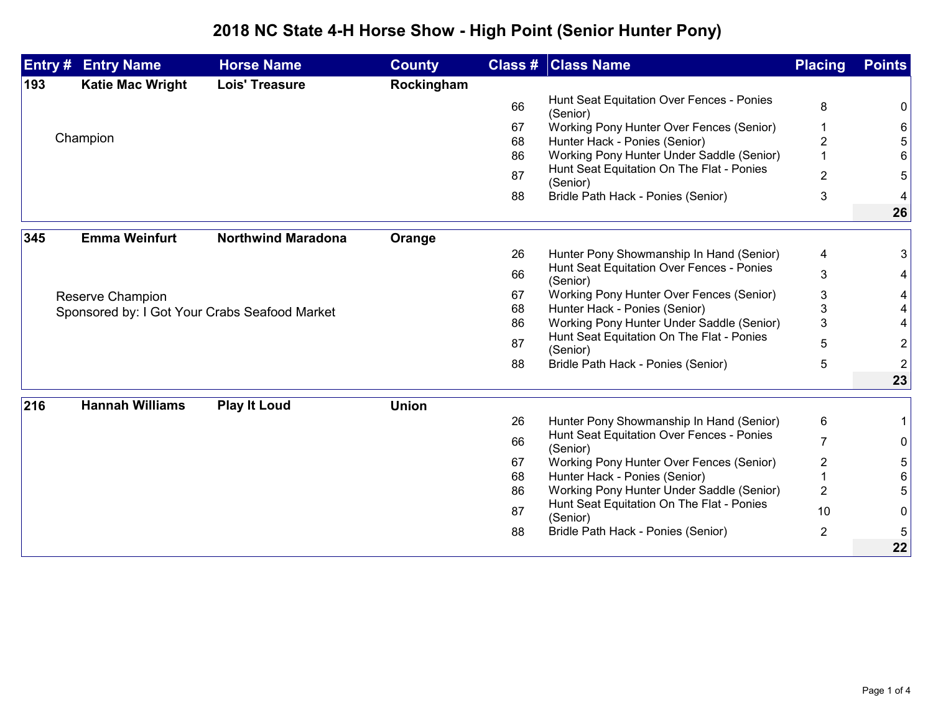## **2018 NC State 4-H Horse Show - High Point (Senior Hunter Pony)**

| Entry # | <b>Entry Name</b>                             | <b>Horse Name</b>         | <b>County</b> |    | <b>Class # Class Name</b>                             | <b>Placing</b> | <b>Points</b>  |
|---------|-----------------------------------------------|---------------------------|---------------|----|-------------------------------------------------------|----------------|----------------|
| 193     | <b>Katie Mac Wright</b>                       | <b>Lois' Treasure</b>     | Rockingham    |    |                                                       |                |                |
|         |                                               |                           |               | 66 | Hunt Seat Equitation Over Fences - Ponies<br>(Senior) | 8              | 0              |
|         |                                               |                           |               | 67 | Working Pony Hunter Over Fences (Senior)              |                | 6              |
|         | Champion                                      |                           |               | 68 | Hunter Hack - Ponies (Senior)                         | 2              |                |
|         |                                               |                           |               | 86 | Working Pony Hunter Under Saddle (Senior)             |                |                |
|         |                                               |                           |               | 87 | Hunt Seat Equitation On The Flat - Ponies<br>(Senior) | $\overline{2}$ | 5              |
|         |                                               |                           |               | 88 | Bridle Path Hack - Ponies (Senior)                    | 3              |                |
|         |                                               |                           |               |    |                                                       |                | 26             |
| 345     | <b>Emma Weinfurt</b>                          | <b>Northwind Maradona</b> | Orange        |    |                                                       |                |                |
|         |                                               |                           |               | 26 | Hunter Pony Showmanship In Hand (Senior)              | 4              | 3              |
|         |                                               |                           |               | 66 | Hunt Seat Equitation Over Fences - Ponies<br>(Senior) | 3              |                |
|         | Reserve Champion                              |                           |               | 67 | Working Pony Hunter Over Fences (Senior)              | 3              |                |
|         | Sponsored by: I Got Your Crabs Seafood Market |                           |               | 68 | Hunter Hack - Ponies (Senior)                         | 3              |                |
|         |                                               |                           |               | 86 | Working Pony Hunter Under Saddle (Senior)             | 3              |                |
|         |                                               |                           |               | 87 | Hunt Seat Equitation On The Flat - Ponies<br>(Senior) | 5              | 2              |
|         |                                               |                           |               | 88 | Bridle Path Hack - Ponies (Senior)                    | 5              | $\overline{2}$ |
|         |                                               |                           |               |    |                                                       |                | 23             |
| 216     | <b>Hannah Williams</b>                        | <b>Play It Loud</b>       | <b>Union</b>  |    |                                                       |                |                |
|         |                                               |                           |               | 26 | Hunter Pony Showmanship In Hand (Senior)              | 6              |                |
|         |                                               |                           |               | 66 | Hunt Seat Equitation Over Fences - Ponies<br>(Senior) | $\overline{7}$ | 0              |
|         |                                               |                           |               | 67 | Working Pony Hunter Over Fences (Senior)              | $\overline{2}$ | 5              |
|         |                                               |                           |               | 68 | Hunter Hack - Ponies (Senior)                         |                | 6              |
|         |                                               |                           |               | 86 | Working Pony Hunter Under Saddle (Senior)             | $\overline{2}$ |                |
|         |                                               |                           |               | 87 | Hunt Seat Equitation On The Flat - Ponies<br>(Senior) | 10             | 0              |
|         |                                               |                           |               | 88 | Bridle Path Hack - Ponies (Senior)                    | $\overline{2}$ | 5              |
|         |                                               |                           |               |    |                                                       |                | 22             |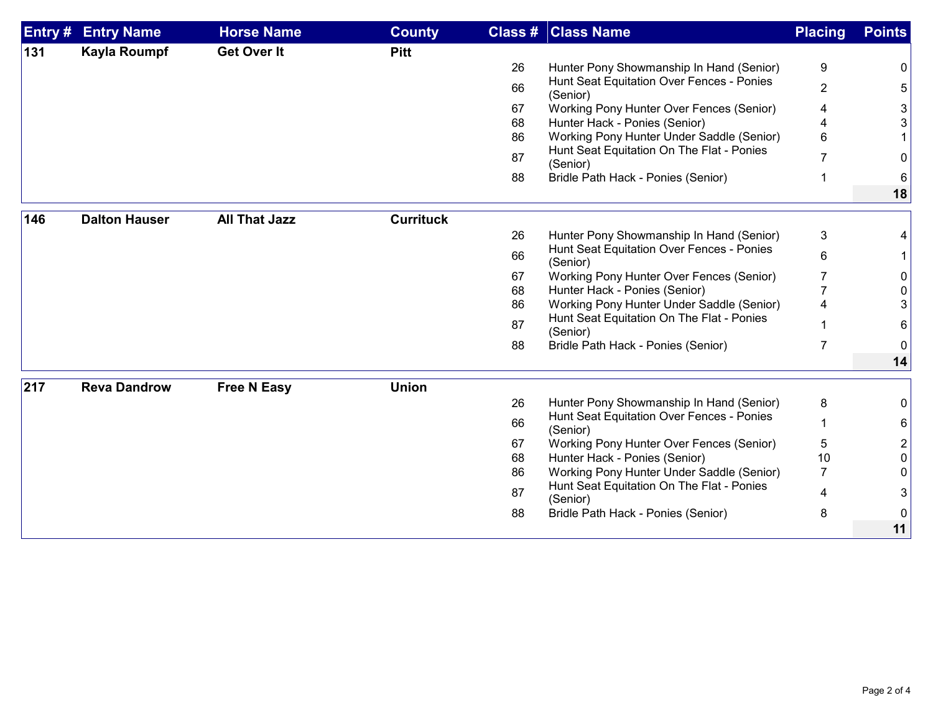| Entry # | <b>Entry Name</b>    | <b>Horse Name</b>    | <b>County</b>    |    | <b>Class # Class Name</b>                                                              | <b>Placing</b> | <b>Points</b>  |
|---------|----------------------|----------------------|------------------|----|----------------------------------------------------------------------------------------|----------------|----------------|
| 131     | <b>Kayla Roumpf</b>  | <b>Get Over It</b>   | <b>Pitt</b>      |    |                                                                                        |                |                |
|         |                      |                      |                  | 26 | Hunter Pony Showmanship In Hand (Senior)                                               | 9              | 0              |
|         |                      |                      |                  | 66 | Hunt Seat Equitation Over Fences - Ponies<br>(Senior)                                  | $\overline{2}$ | 5              |
|         |                      |                      |                  | 67 | Working Pony Hunter Over Fences (Senior)                                               | 4              | 3 <sup>1</sup> |
|         |                      |                      |                  | 68 | Hunter Hack - Ponies (Senior)                                                          |                | 3              |
|         |                      |                      |                  | 86 | Working Pony Hunter Under Saddle (Senior)                                              | 6              |                |
|         |                      |                      |                  | 87 | Hunt Seat Equitation On The Flat - Ponies                                              |                | 0              |
|         |                      |                      |                  | 88 | (Senior)<br>Bridle Path Hack - Ponies (Senior)                                         | 1              | 6              |
|         |                      |                      |                  |    |                                                                                        |                | 18             |
| 146     | <b>Dalton Hauser</b> | <b>All That Jazz</b> | <b>Currituck</b> |    |                                                                                        |                |                |
|         |                      |                      |                  | 26 | Hunter Pony Showmanship In Hand (Senior)                                               | 3              |                |
|         |                      |                      |                  | 66 | Hunt Seat Equitation Over Fences - Ponies                                              |                |                |
|         |                      |                      |                  |    | (Senior)                                                                               | 6              |                |
|         |                      |                      |                  | 67 | Working Pony Hunter Over Fences (Senior)                                               |                | 0              |
|         |                      |                      |                  | 68 | Hunter Hack - Ponies (Senior)                                                          |                | 0              |
|         |                      |                      |                  | 86 | Working Pony Hunter Under Saddle (Senior)<br>Hunt Seat Equitation On The Flat - Ponies |                | 3              |
|         |                      |                      |                  | 87 | (Senior)                                                                               |                | 6              |
|         |                      |                      |                  | 88 | Bridle Path Hack - Ponies (Senior)                                                     | 7              | $\mathbf{0}$   |
|         |                      |                      |                  |    |                                                                                        |                | 14             |
| 217     | <b>Reva Dandrow</b>  | <b>Free N Easy</b>   | <b>Union</b>     |    |                                                                                        |                |                |
|         |                      |                      |                  | 26 | Hunter Pony Showmanship In Hand (Senior)                                               | 8              | 0              |
|         |                      |                      |                  | 66 | Hunt Seat Equitation Over Fences - Ponies<br>(Senior)                                  |                | $6 \mid$       |
|         |                      |                      |                  | 67 | Working Pony Hunter Over Fences (Senior)                                               | 5              | $2\vert$       |
|         |                      |                      |                  | 68 | Hunter Hack - Ponies (Senior)                                                          | 10             | 0              |
|         |                      |                      |                  | 86 | Working Pony Hunter Under Saddle (Senior)                                              | $\overline{7}$ | 0              |
|         |                      |                      |                  | 87 | Hunt Seat Equitation On The Flat - Ponies<br>(Senior)                                  | 4              | 3              |
|         |                      |                      |                  | 88 | Bridle Path Hack - Ponies (Senior)                                                     | 8              | 0              |
|         |                      |                      |                  |    |                                                                                        |                | 11             |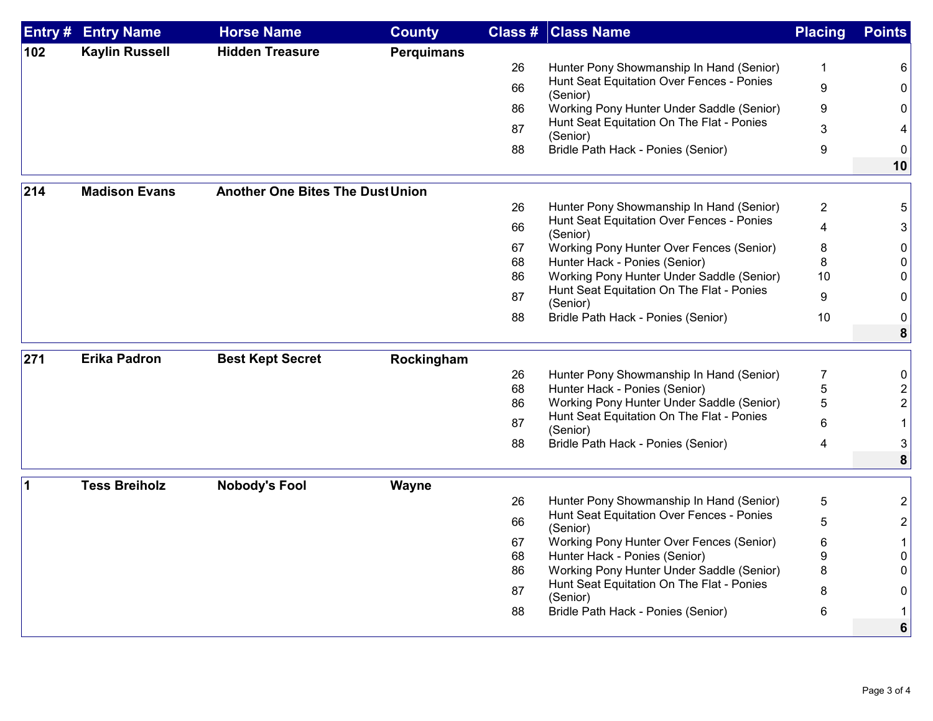| Entry # | <b>Entry Name</b>     | <b>Horse Name</b>                       | <b>County</b>     | Class #  | <b>Class Name</b>                                                         | <b>Placing</b> | <b>Points</b>  |
|---------|-----------------------|-----------------------------------------|-------------------|----------|---------------------------------------------------------------------------|----------------|----------------|
| 102     | <b>Kaylin Russell</b> | <b>Hidden Treasure</b>                  | <b>Perquimans</b> |          |                                                                           |                |                |
|         |                       |                                         |                   | 26       | Hunter Pony Showmanship In Hand (Senior)                                  | $\mathbf 1$    | 6              |
|         |                       |                                         |                   | 66       | Hunt Seat Equitation Over Fences - Ponies<br>(Senior)                     | 9              | 0              |
|         |                       |                                         |                   | 86       | Working Pony Hunter Under Saddle (Senior)                                 | 9              | 0              |
|         |                       |                                         |                   | 87       | Hunt Seat Equitation On The Flat - Ponies<br>(Senior)                     | 3              |                |
|         |                       |                                         |                   | 88       | Bridle Path Hack - Ponies (Senior)                                        | 9              | 0              |
|         |                       |                                         |                   |          |                                                                           |                | 10             |
| 214     | <b>Madison Evans</b>  | <b>Another One Bites The Dust Union</b> |                   |          |                                                                           |                |                |
|         |                       |                                         |                   | 26       | Hunter Pony Showmanship In Hand (Senior)                                  | $\overline{2}$ | 5              |
|         |                       |                                         |                   | 66       | Hunt Seat Equitation Over Fences - Ponies<br>(Senior)                     | 4              | 3              |
|         |                       |                                         |                   | 67       | Working Pony Hunter Over Fences (Senior)                                  | 8              | 0              |
|         |                       |                                         |                   | 68       | Hunter Hack - Ponies (Senior)                                             | 8              | 0              |
|         |                       |                                         |                   | 86       | Working Pony Hunter Under Saddle (Senior)                                 | 10             | 0              |
|         |                       |                                         |                   | 87       | Hunt Seat Equitation On The Flat - Ponies<br>(Senior)                     | 9              | 0              |
|         |                       |                                         |                   | 88       | Bridle Path Hack - Ponies (Senior)                                        | 10             | 0              |
|         |                       |                                         |                   |          |                                                                           |                | 8              |
| 271     | <b>Erika Padron</b>   | <b>Best Kept Secret</b>                 | Rockingham        |          |                                                                           |                |                |
|         |                       |                                         |                   | 26       | Hunter Pony Showmanship In Hand (Senior)                                  | 7              | 0              |
|         |                       |                                         |                   | 68       | Hunter Hack - Ponies (Senior)                                             | 5              | 2              |
|         |                       |                                         |                   | 86       | Working Pony Hunter Under Saddle (Senior)                                 | 5              | $\overline{2}$ |
|         |                       |                                         |                   | 87       | Hunt Seat Equitation On The Flat - Ponies<br>(Senior)                     | 6              |                |
|         |                       |                                         |                   | 88       | Bridle Path Hack - Ponies (Senior)                                        | 4              | 3              |
|         |                       |                                         |                   |          |                                                                           |                | 8              |
| 1       | <b>Tess Breiholz</b>  | <b>Nobody's Fool</b>                    | Wayne             |          |                                                                           |                |                |
|         |                       |                                         |                   | 26       | Hunter Pony Showmanship In Hand (Senior)                                  | $\overline{5}$ | 2              |
|         |                       |                                         |                   | 66       | Hunt Seat Equitation Over Fences - Ponies                                 | 5              | $\overline{2}$ |
|         |                       |                                         |                   |          | (Senior)                                                                  |                |                |
|         |                       |                                         |                   | 67<br>68 | Working Pony Hunter Over Fences (Senior)<br>Hunter Hack - Ponies (Senior) | 6<br>9         | 1<br>0         |
|         |                       |                                         |                   | 86       | Working Pony Hunter Under Saddle (Senior)                                 | 8              | 0              |
|         |                       |                                         |                   | 87       | Hunt Seat Equitation On The Flat - Ponies                                 | 8              | 0              |
|         |                       |                                         |                   | 88       | (Senior)<br>Bridle Path Hack - Ponies (Senior)                            | 6              |                |
|         |                       |                                         |                   |          |                                                                           |                | 6              |
|         |                       |                                         |                   |          |                                                                           |                |                |